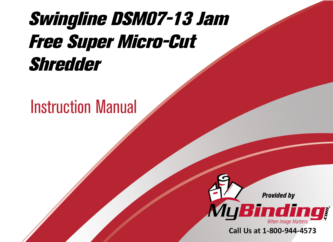# [Swingline DSM07-13 Jam](https://www.mybinding.com/swingline-dsm07-13-jam-free-super-micro-cut-shredder.html)  Free Super Micro-Cut Shredder

# Instruction Manual



Call Us at 1-800-944-4573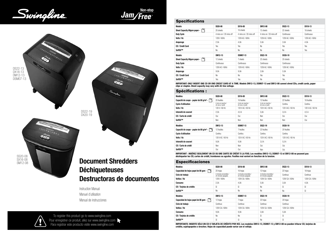Swingline

Non-stor Jan





# **Document Shredders** Déchiqueteuses Destructoras de documentos

Instruction Manual Manuel d'utilisation Manual de instrucciones



To register this product go to www.swingline.com Pour enregistrer ce produit, allez sur www.swingline.com Para registrar este producto visite www.swingline.com

# **Specifications**

| Models                            | SS20-08                 | SX16-08                 | SM12-08                 | DS22-13        | DX18-13        |
|-----------------------------------|-------------------------|-------------------------|-------------------------|----------------|----------------|
| ♩<br>Sheet Capacity 80gsm paper - | 20 sheets               | 16 sheets               | 12 sheets               | 22 sheets      | 18 sheets      |
| <b>Duty Cycle</b>                 | 4 mins on / 20 mins off | 4 mins on / 20 mins off | 4 mins on / 20 mins off | Continuous     | Continuous     |
| Volts / Hz                        | 120V / 60Hz             | 120V AC / 60Hz          | 120V AC / 60Hz          | 120V AC / 60Hz | 120V AC / 60Hz |
| Amperage                          | 2.5A                    | 4.0A                    | 5.0A                    | 3.0A           | 4.5A           |
| <b>CD / Credit Card</b>           | Yes                     | Yes                     | No                      | Yes            | Yes            |
| Self0il™                          | No                      | No                      | No                      | No             | Yes            |
| Models                            | DM12-13                 | <b>DSM07-13</b>         | DS22-19                 | DX20-19        |                |
| ¬<br>Sheet Capacity 80gsm paper - | 12 sheets               | 7 sheets                | 22 sheets               | 20 sheets      |                |
| <b>Duty Cycle</b>                 | Continuous              | Continuous              | Continuous              | Continuous     |                |
| Volts / Hz                        | 120V AC / 60Hz          | 120V AC / 60Hz          | 120V AC / 60Hz          | 120V AC / 60Hz |                |
| Amperage                          | 9.0A                    | 9.0A                    | 3.0A                    | 5.0A           |                |
| CD / Credit Card                  | No                      | N <sub>0</sub>          | Yes                     | Yes            |                |
| SelfOil™                          | Yes                     | Yes                     | No                      | Yes            |                |

IMPORTANT: ONLY INSERT ONE CD OR ONE CREDIT CARD AT A TIME. Models DM12-13, DSM07-13 and SM12-08 cannot shred CDs, credit cards, paper<br>clips or staples. Sheet capacity may vary with AC line voltage.

# Spécifications :

| Modèles                                                       | <b>SS20-08</b>                        | SX16-08                               | SM12-08                               | <b>DS22-13</b>   | DX18-13          |
|---------------------------------------------------------------|---------------------------------------|---------------------------------------|---------------------------------------|------------------|------------------|
| Capacité de coupe - papier de 80 g/m <sup>2</sup> -           | 20 feuilles                           | 16 feuilles                           | 12 feuilles                           | 22 feuilles      | 18 feuilles      |
| <b>Cycle d'utilisation</b>                                    | 4 min en marche /<br>20 min à l'arrêt | 4 min en marche /<br>20 min à l'arrêt | 4 min en marche /<br>20 min à l'arrêt | Continu          | Continu          |
| Volts / Hz                                                    | 120 V / 60 Hz                         | 120 V AC / 60 Hz                      | 120 V AC / 60 Hz                      | 120 V AC / 60 Hz | 120 V AC / 60 Hz |
| Intensité de courant                                          | 2,5A                                  | 4,0 A                                 | 5,0A                                  | 3,0A             | 4,5 A            |
| CD / Carte de crédit                                          | Oui                                   | Oui                                   | Non                                   | Oui              | Oui              |
| Self0il™                                                      | Non                                   | Non                                   | Non                                   | Non              | Oui              |
|                                                               |                                       |                                       |                                       |                  |                  |
| Modèles                                                       | DM12-13                               | <b>DSM07-13</b>                       | DS22-19                               | DX20-19          |                  |
| الحب<br>Capacité de coupe - papier de 80 g/m <sup>2</sup> - [ | 12 feuilles                           | 7 feuilles                            | 22 feuilles                           | 20 feuilles      |                  |
| <b>Cycle d'utilisation</b>                                    | Continu                               | Continu                               | Continu                               | Continu          |                  |
| Volts / Hz                                                    | 120 V AC / 60 Hz                      | 120 V AC / 60 Hz                      | 120 V AC / 60 Hz                      | 120 V AC / 60 Hz |                  |
|                                                               |                                       |                                       |                                       |                  |                  |
| Intensité de courant                                          | 9,0A                                  | 9.0A                                  | 3.0A                                  | 5.0A             |                  |
| CD / Carte de crédit                                          | Non                                   | Non                                   | Oui                                   | Oui              |                  |

IMPORTANT : INSÉREZ SEULEMENT UN CD OU UNE CARTE DE CRÉDIT À LA FOIS. Les modèles DM12-13, DSM07-13 et SM12-08 ne peuvent pas déchiqueter les CD, cartes de crédit, trombones ou agrafes. Feuilles mai varient en fonction de la tension.

# Especificaciones

| Modelos                                   | SS20-08                                     | SX16-08                                     | SM12-08                                     | DS22-13        | DX18-13        |
|-------------------------------------------|---------------------------------------------|---------------------------------------------|---------------------------------------------|----------------|----------------|
| Capacidad de hojas papel de 80 gsm -      | 20 hojas                                    | 16 hojas                                    | 12 hojas                                    | 22 hojas       | 18 hojas       |
| Ciclo de trabajo                          | 4 minutos encendida /<br>20 minutos apagada | 4 minutos encendida /<br>20 minutos apagada | 4 minutos encendida /<br>20 minutos apagada | Continuo       | Continuo       |
| <b>Voltios / Hz</b>                       | 120V / 60Hz                                 | 120V CA / 60Hz                              | 120V CA / 60Hz                              | 120V CA / 60Hz | 120V CA / 60Hz |
| Consumo                                   | 2,5A                                        | 4.0A                                        | 5,0A                                        | 3,0A           | 4,5A           |
| CD / Tarjetas de crédito                  | Sí                                          | Sí                                          | No                                          | Sí             | Sí             |
| SelfOil™                                  | N <sub>0</sub>                              | No                                          | No                                          | No             | Sí             |
| Modelos                                   | DM12-13                                     | <b>DSM07-13</b>                             | <b>DS22-19</b>                              | DX20-19        |                |
|                                           |                                             |                                             |                                             |                |                |
| ↘<br>Capacidad de hojas papel de 80 gsm - | 12 hojas                                    | 7 hojas                                     | 22 hojas                                    | 20 hojas       |                |
| Ciclo de trabaio                          | Continuo                                    | Continuo                                    | Continuo                                    | Continuo       |                |
| <b>Voltios / Hz</b>                       | 120V CA / 60Hz                              | 120V CA / 60Hz                              | 120V CA / 60Hz                              | 120V CA / 60Hz |                |
| Consumo                                   | 9,0A                                        | 9.0A                                        | 3.0A                                        | 5,0A           |                |
| CD / Tarietas de crédito                  | No                                          | No                                          | Sí                                          | Sí             |                |
| SelfOil™                                  | Sí                                          | Sí                                          | N <sub>0</sub>                              | Sí             |                |

IMPORTANTE: INSERTE SÓLO UN CD O TARJETA DE CRÉDITO POR VEZ. Los modelos DM12-13, DSM07-13 y SM12-08 no pueden triturar CD, tarjetas de crédito, sujetapapeles o broches. Hojas de capacidad puede variar con el voltaje.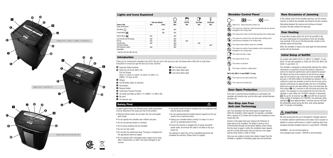

|                              |       |                    |        | <b>MEN</b>      |           | ï          |
|------------------------------|-------|--------------------|--------|-----------------|-----------|------------|
|                              |       | Anti-Jam Indicator | Auto   | <b>Bin Full</b> | Door Open | Cool Down* |
| Colour of LED                | Red   | Green              | Blue   | Red             | Red       | Red        |
| Power On/Off Switch          |       |                    |        |                 |           |            |
| Auto Mode                    |       | light              | light  |                 |           |            |
| Forward Mode XX              |       | light              | light  |                 |           |            |
| Reverse Mode <<              | light |                    | light  |                 |           |            |
| Jam Free Anti-Jam Technology | light |                    | light  |                 |           |            |
| <b>Bin Full</b>              | light |                    | light  | light           |           |            |
| Door/Bin Open                | light |                    | light  |                 | light     |            |
| Cool Down Indicator          |       |                    | light* |                 |           | light*     |
| Self Cleaning of Cutters     | light |                    | light  |                 |           |            |
| Sleep Mode                   |       |                    |        |                 |           |            |

### Introduction

Thank you for choosing this shredder from ACCO. We are sure it will serve you well, but please take a little time to study these instructions to ensure you get the best out of your machine.

> **1** Bin Full (Red Light) 2 Door Open (Red Light) **3** Cool Down (Red Light)

- $\bullet$  Important Safety Symbols
- **B** SS20-08, SX16-08, SM12-08: Pull Out Drawer DS22-13, DX18-13, DS22-19, DX20-19, DM12-13,
- DSM07-13: Door for Bin
- **O** Wheels
- D On/Off Button (Rear of machine)
- E Auto Button
- **O** Reverse Button
- G Continuous Forward Function
- $\Phi$  CD Guide (not fitted on DM12-13, DSM07-13, SM12-08)
- $\bullet$  Bin door
- O Oil reservoir can

### Safety First

- To guard against injury, the following basic safety precautions must be observed in the setup and use of this product.
- Electrical shock hazard. Do not open. No user serviceable parts inside.
- Do not operate the shredder near children and pets.
- Do not use aerosol dusters or cleaners.
- Do not spray anything into the shredder.
- Do not use near water.
- Do not alter the attachment plug. The plug is configured for the appropriate electrical supply.
- Do not operate with a damaged power supply cord or plug, after it malfunctions, or after it has been damaged in any manner.
- The socket-outlet should be installed near the equipment and shall be easily accessible.
- Do not overload electrical outlets beyond capacity as this can result in fire or electrical shock.
- Unplug your shredder before moving it or when it is not in use for an extended period of time.
- Ensure the machine is plugged into an easily accessible power outlet, and ensure the cable is not likely to trip up a passer by.
- Any attempt to repair this unit by unqualified personnel will invalidate the warranty. Please return to supplier.

### Shredder Control Panel



Safety First - Read instructions before use This means you should be careful because long hair can become

 $\bigotimes$  This means you should be care!<br>entangled in the cutting head.

This means don't reach into the feed opening of the cutting head.

- This means be careful of ties and other loose clothing which could become entangled in the cutting head.
- (**1)** This means keep children away from shredder.
- This means be careful of loose jewellery which could become  $^\circledR$ entangled in the cutting head.
- This means the door is open.
- 
- 
- 

This means machine is cooling down.

SM12-08, DM12-13 and DSM07-13 only.

 $\circledR$ This means do not shred credit cards. (C) This means do not shred CDs.

### Door Open Protection

If the door is opened during shredding as a precaution the shredder will instantly stop, and the door open symbol/indicator will glow red.

### Non-Stop Jam Free Anti-Jam Technology

Jam Free Shredders will only shred stacks of paper that are within the shredder's sheet capacity. For example, a shredder with a capacity of 22 sheets will not allow the shredding of more sheets than this.

Sensors in the paper feed area measure the thickness of paper about to be shredded. The ability to shred or not is communicated through red and green lighting. Green means that the stack of paper is within the shredders sheet capacity and OK to shred. Red means that you have too much paper, remove some sheets in order to shred.

Since you are unable to shred more sheets of paper than the shredder is capable of shredding, paper jams are prevented.

### Rare Occasions of Jamming

In the unlikely event of the shredder jamming, use the reverse function to unblock the shredder (see Reverse function section).

Alternating between the reverse and continuous forward functions will help unblock the feed area.

### Over Heating

If small office models (SS20-08, SX16-08 and SM12-08) are used continuously for long periods of time the shredder may overheat. If this occurs the thermometer symbol on the indicator panel will illuminate.

When the shredder is ready to be used again the thermometer symbol will not illuminate.

### Initial Setup of SelfOil

For models with SelfOil: DX18-13, DM12-13, DSM07-13 and DX20-19 only. Not available on: SS20-08, SX16-08, SM12-08, DS22-13 and DS22-19.

The shredder is designed to automatically lubricate the cutting mechanism as required to ensure the product continues to work to its maximum performance and to extend the product life. Before turning on the machine for the first time, please open the oil reservoir cap on the head of the shredder  $\langle \bigcirc \rangle$ and pour in the 60ml bottle of oil provided as standard. This is sufficient to allow the shredder to start for the first time and to operate continuously for approximately one hour of shredding before the reservoir will need refilling. Press and hold down the Auto button  $(\bigodot)$  for 5 seconds to start the pump and prime the system. This operation is only required the very first time the shredder is used. When the 'Oil Refill' indicator is illuminated  $\odot$ , flip up the oil reservoir cap ( $\odot$ ) and refill the oil reservoir using a bottle of Swingline oil (1760049). The automatic oiling operation  $\circledR$  lasts approximately 2 seconds and you will hear the distribution pump during this time. Auto-oiling operates after 15 minutes of shredding.

# $\Lambda$  CAUTION

We only recommend the use of Swingline® shredder lubricant to maintain optimum performance and safety. ACCO accepts no liability for product performance or safety if anything other than Swingline branded shredder lubricant is used (Item# 1760049).

WARNING – Do not use flammable oil. Only Swingline part number 1760049 is recommended.

 $\wedge$ 



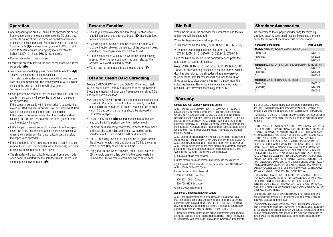# **Operation**

- After unpacking the product, pull out the shredder bin or bag frame (depending on model) and remove the CD shard tray, which sits on top of the bag frame on departmental models or bin on small office models. Store this tray on the external  $location$  points ( $\bigcirc$ ) and use when you shred CD's or credit cards to separate waste for recycling (not applicable for SM12-08, DM12-13 and DSM07-13 models).
- Connect shredder to mains supply.
- Ensure the on/off button on the back of the machine is in the on position  $(\mathbf{O})$ .
- $\bullet$  To commence shredding, press the central Auto button  $(\bigodot)$ . This will illuminate the anti jam indicator. This sets the shredder into auto mode and initiates the Jam Free anti jam mechanism. The standby symbol will illuminate blue and the anti-jam indicator will glow green. You are now able to shred.
- Insert paper to be shredded into the feed area. The Jam Free anti jam mechanism will sense the thickness of the paper being shredded.

If the paper thickness is within the shredder's capacity, the motor will start and your documents will be shredded. Cutters will stop once the shredding process is complete. If the paper thickness is greater than the shredder's sheet capacity, the anti-jam indicator will turn from green to red and the motor will not run.

- If this happens, remove some of the sheets from the paper stack and re-try until the anti-jam indicator reverts back to green, the shredder will then automatically start and allow the paper to be shredded.
- If the shredder is left in auto mode for more than 2 minutes without being used, the shredder will automatically turn back to standby mode in order to save power.
- The shredder will automatically 'wake up' from sleep mode when paper is inserted into the shredder mouth. There is no need to press the Auto button  $\left( \bigoplus \right)$ .

# Reverse Function

- Should you wish to reverse the shredding direction while shredding a document, a reverse button  $\overline{(\mathbf{G})}$  has been fitted for your convenience.
- By pressing the reverse button the shredding cutters will change direction allowing the retrieval of the document being shredded. The anti-jam indicator will turn to red.
- The reverse function will only run whilst the button is being pressed. When the reverse button has been released the shredder will revert to stand by mode.
- To turn back to auto mode, press the auto button ( $\bigodot$ ).

# CD and Credit Card Shredding

Models SM12-08, DM12-13 and DSM07-13 can not shred CD's or credit cards, therefore this section is not applicable to these three models. All other Jam Free models can shred CD's and credit cards as follows:

- A separate CD tray is provided on some models to collect the shredded CD shards. Ensure that this is correctly mounted onto the bin rail or internal bin before shredding CDs or credit cards. CD and credit card shards should be disposed of separately to paper.
- $\bullet$  Pull up the CD quide  $(\bullet)$  located in the centre of the feed area and flip it into position over the shredder mouth.
- For credit card shredding, switch the shredder to auto mode and insert the card in line with the arrow marked on the shredder mouth. Only shred 1 credit card at a time.
- For CD shredding, extend the sides of the CD guide, switch the shredder to auto mode and place the CD into the centre of the CD slot. Only shred 1 CD at a time.
- Empty the CD tray (where provided) after 8 credit cards or CD's to avoid waste spilling over into the paper waste bin. Remove the CD tray before recommencing to shred paper.

# Bin Full

When the bin is full the shredder will not function and the bin full symbol will illuminate red.

When this happens you must empty the bin.

- Pull open the bin to empty (SS20-08, SX16-08, SM12-08)
- Open the door and pull out the bag frame (DS22-13) DX18-13, DM12-13, DSM07-13, DS22-19, DX20-19)

Once the bin is empty, close the door/drawer and press the auto button to resume shredding.

Note: SX16-08, DX18-13, DX20-19, DM12-13, DSM07-13 - Once the shredder bag has been reinserted and/or cabinet door has been closed, the shredder will run in reverse for three seconds, stop for two seconds and then forward for three seconds to clear away any remaining paper from the cutter mechanism. This unique 'self-cleaning' mechanism is additional jam prevention technology from ACCO.

# **Warranty**

### Limited Two Year Warranty (Excluding Cutters)

ACCO Brands (Returns Center) USA, 101 Bolton Ave 9E, Booneville MS 38829, ACCO Brands Canada Inc., 5 Precidio Court, Brampton, ON L6S-6B7, ACCO MEXICANA S.A. DE C.V Circuito de la Industria Norte No. 6 Parque Industria Lerma, Lerma Edo. de México C.P. 52000 México. (each, respectively, "ACCO Brands") warrants to the original purchaser that this ACCO Brands product (except for the cutters) is free from defects in workmanship and material under normal use and service for a period of two (2) years after purchase. (The cutters are excluded from this warranty.)

ACCO Brands' obligation under this warranty is limited to replacement or repair, at ACCO Brands' option, of any warranted part found defective by ACCO Brands without charge for material or labor. Any replacement, at ACCO Brands' option, may be the same product or a substantially similar product that may contain remanufactured or refurbished parts. This warranty shall be void in the following circumstances:

(i) if the product has been misused,

(ii) if the product has been damaged by negligence or accident, or

(iii) if the product has been altered by anyone other than ACCO Brands or ACCO Brands' authorized agents.

For warranty execution, please call:

1-800-541-0094 in the USA

1-800-263-1063 in Canada

1-800-758-6825 in Mexico

Or go to www.swingline.com.

### Additional Limited Warranty For Cutters

ACCO Brands guarantees the cutting blades of the shredder to be free from defects in material and workmanship for as long as original purchaser owns the product on SS20-08, SX16-08, DS22-13, DX18-13, DS22-19 and DX20-19 and for one (1) year from date of purchase by original consumer on SM12-08, DM12-13 and DSM07-13.

\* Please note that the cutter blades will be progressively worn down by shredding fastened sheets (staples and paperclips) - this is not covered in the warranty. With regards to CD shredding, Swingline® departmental

# Shredder Accessories

We recommend that a paper shredder bag for recycling shredded paper is used on all models. Please see the table below for the correct accessory code for your model.

| <b>Accessory Description</b>                                      | <b>Part Number</b> |  |  |  |  |  |  |
|-------------------------------------------------------------------|--------------------|--|--|--|--|--|--|
| <b>Models:</b> SS20-08, SX16-08 and SM12-08 (8 gallon)            |                    |  |  |  |  |  |  |
| Plastic Bag                                                       | 1765016            |  |  |  |  |  |  |
| Paper Bag                                                         | 1765022            |  |  |  |  |  |  |
| Oil                                                               | 1760049            |  |  |  |  |  |  |
| <b>Models:</b> DS22-13, DX18-13, DM12-13 and DSM07-13 (13 gallon) |                    |  |  |  |  |  |  |
| Plastic Bag                                                       | 1765010            |  |  |  |  |  |  |
| Paper Bag                                                         | 1765024            |  |  |  |  |  |  |
| Oil                                                               | 1760049            |  |  |  |  |  |  |
| <b>Models:</b> DS22-19 and DX20-19 (19 gallon)                    |                    |  |  |  |  |  |  |
| Plastic Bag                                                       | 1765010            |  |  |  |  |  |  |
| Paper Bag                                                         | 1765024            |  |  |  |  |  |  |
| Ωil                                                               | 1760049            |  |  |  |  |  |  |

and small office shredders have been designed to shred up to 500 and 300 CDs respectively during the warranty period. Excessive cd shredding will wear the cutters and is not covered within the warranty.

\*\*Models SM12-08, DM12-13 and DSM07-13 have NOT been designed to shred CD's and credit cards. Any attempt to do so will invalidate this warranty.

TO THE EXTENT ALLOWED BY APPLICABLE LAW, THIS WARRANTY IS IN LIEU OF ALL OTHER EXPRESSED WARRANTIES. REPRESENTATIONS OR PROMISES INCONSISTENT WITH OR IN ADDITION TO THIS WARRANTY ARE UNAUTHORIZED AND SHALL NOT BE BINDING ON ACCO BRANDS. TO THE EXTENT PERMITTED BY APPLICABLE LAWS, ANY IMPLIED WARRANTIES (IF APPLICABLE) ARE LIMITED IN DURATION TO THE DURATION OF THIS WARRANTY. SOME STATES AND JURISDICTIONS DO NOT ALLOW LIMITATIONS ON HOW LONG AN IMPLIED WARRAN-TY LASTS, SO THE ABOVE LIMITATION MAY NOT APPLY TO YOU. TO THE EXTENT PERMITTED BY APPLICABLE LAW, IN NO EVENT SHALL ACCO BRANDS BE LIABLE FOR ANY SPECIAL, INCIDENTAL, PUNITIVE, EXEMPLARY, CONSEQUENTIAL OR SIMILAR DAMAGES, WHETHER OR NOT FORSEEABLE. SOME STATES AND JURISDICTIONS DO NOT ALLOW THE EXCLUSION OR LIMITATION OF SPECIAL, INCIDENTAL, PUNITIVE, EXEMLARY, CONSEQUENTIAL, OR SIMILAR DAMAGES, SO THE ABOVE EXCLUSION OR LIMITATION MAY NOT APPLY TO YOU.

FOR CONSUMERS WHO HAVE THE BENEFIT OF CONSUMER PROTEC-TION LAWS OR REGULATIONS IN THEIR JURISDICTION OF PURCHASE OR, IF DIFFERENT, IN THEIR JURISDICTION OF RESIDENCE, THE BENEFITS CONFERRED BY THIS WARRANTY ARE IN ADDITION TO ALL RIGHTS AND REMEDIES CONVEYED BY SUCH CONSUMER PROTECTION LAWS AND REGULATIONS.

To the extent permitted by law, this warranty is not transferable and will automatically terminate if the original product purchaser sells or otherwise disposes of the product.

This warranty gives you specific legal rights. Other rights, which vary from jurisdiction to jurisdiction, may exist. In addition some jurisdictions do not allow (i) the exclusion of certain warranties, (ii) limitations on how long an implied warranty lasts and/or (iii) the exclusion or limitation of certain types of costs and/or damages, so the above limitations may not apply.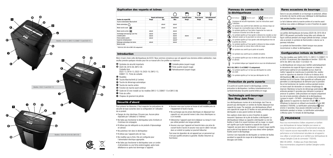

### Explication des voyants et icônes

|                                    |        |                             |             | w.                      |               | I                |
|------------------------------------|--------|-----------------------------|-------------|-------------------------|---------------|------------------|
|                                    |        | <b>Vovant anti-bourrage</b> | Automatique | <b>Corbeille pleine</b> | Porte ouverte | Refroidissement* |
| Couleur du vovant DEL              | Rouge  | Vert                        | Bleu        | Rouge                   | Rouge         | Rouge            |
| Touche d'alimentation Marche/Arrêt |        |                             |             |                         |               |                  |
| Mode automatique (                 |        | allumé                      | allumé      |                         |               |                  |
| Mode marche avant DD               |        | allumé                      | allumé      |                         |               |                  |
| Mode marche arrière KK             | allumé |                             | allumé      |                         |               |                  |
| Technologie anti-bourrage Jam Free | allumé |                             | allumé      |                         |               |                  |
| Corbeille pleine                   | allumé |                             | allumé      | allumé                  |               |                  |
| Porte/corbeille ouverte            | allumé |                             | allumé      |                         | allumé        |                  |
| Vovant de refroidissement          |        |                             | allumé*     |                         |               | allumé*          |
| Nettovage automatique des lames    | allumé |                             | allumé      |                         |               |                  |
| Mode de veille                     |        |                             |             |                         |               |                  |

\* SS20-08, SX16-08 et SM12-08 uniquement

### Introduction

Merci d'avoir choisi cette déchiqueteuse de ACCO. Nous sommes convaincus que cet appareil vous donnera entière satisfaction, mais veuillez prendre quelques minutes pour lire ce manuel afin d'en profiter au maximum.

> **1** Corbeille pleine (voyant rouge) **2** Porte ouverte (voyant rouge) 3 Refroidissement (voyant rouge)

- A Symboles de sécurité importants
- **B** SS20-08, SX16-08, SM12-08 : Corbeille-tiroir DS22-13, DX18-13, DS22-19, DX20-19, DM12-13, DSM07-13 : Porte de corbeille
- **G** Roulettes
- D Touche Marche/Arrêt (à l'arrière)
- E Touche de démarrage automatique
- **O** Touche de marche arrière
- G Fonction de marche avant continue
- $\Phi$  Guide de CD (non installé sur les modèles DM12-13, DSM07-13 et SM12-08)
- $\bullet$  Porte de coffre
- $\bullet$  Chapeau de gisement de pétrole

### Sécurité d'abord

Pour prévenir les blessures, il faut respecter les précautions de sécurité de base suivantes dans la configuration et l'utilisation de ce produit.

- Danger de choc électrique. N'ouvrez pas. Aucune pièce réparable par l'utilisateur à l'intérieur.
- Ne faites pas fonctionner le déchiqueteur près d'enfants et d'animaux de compagnie.
- N'utilisez pas de nettoyants ou de produits d'époussetage en aérosol.
- Ne pulvérisez rien dans le déchiqueteur.
- N'utilisez pas l'appareil près de l'eau.
- Ne modifiez pas la fiche. Elle est configurée pour l'alimentation électrique appropriée.
- Ne faites pas fonctionner le déchiqueteur avec un cordon d'alimentation ou une fiche endommagé(e), après toute défaillance ou après tout dommage à l'appareil.
- Assurez-vous que la prise se trouve et soit installée près de l'équipement et facile d'accès. • Ne surchargez pas les prises électriques en dépassant leur
- capacité car ceci pourrait mener à des chocs électriques ou à un incendie.
- Débranchez l'appareil avant de le déplacer ou lorsqu'il n'est pas utilisé pendant une longue période.
- Assurez-vous que l'appareil est branché dans une prise de courant facile d'accès et assurez-vous que le câble n'est pas dans un endroit où quelqu'un pourrait trébucher.

Tout essai de réparation de cet appareil par un personnel qui n'est pas qualifié annulera la garantie. Veuillez retourner au fournisseur.

### Panneau de commande de la déchiqueteuse



- Ce symbole vous avertit de faire attention aux cheveux longs car ils risquent de s'enchevêtrer dans la tête de coupe.
- Ce symbole signifie qu'il faut éviter d'approcher les mains de l'ouverture d'insertion de la tête de coupe.
- $\widetilde{\bigoplus}$  Ce symbole signifie qu'il faut garder à distance les cravates ou tout vêtement ample car ils pourraient se coincer dans la tête de coupe.
- 
- vêtement ample car ils pourraient se coincer dans la tête de coupe. Ce symbole signifie qu'il faut garder cette déchiqueteuse hors de la portée des enfants.
- Ce symbole signifie qu'il faut garder à distance les bijoux amples car ils pourraient se coincer dans la tête de coupe.
- Ce symbole vous avertit que la porte est ouverte.
- Ce symbole vous avertit que la corbeille est pleine.
- Ce symbole signifie que vous ne devez pas utiliser de produits en aérosol.
- Ce symbole indique que l'appareil est en cours de refroidissement.

### SM12-08, DM12-13 et DSM07-13 uniquement.

Ce symbole signifie qu'il ne faut pas déchiqueter les cartes de crédit.

Ce symbole signifie qu'il ne faut pas déchiqueter les CD.

### Protection de porte ouverte

Si la porte est ouverte durant le déchiquetage, comme précaution le déchiqueteur s'arrêtera instantanément et le symbole/indicateur de porte ouverte brillera en rouge.

### Technologie anti-bourrage Non Stop Jam Free

Les déchiqueteuses munies de la technologie Jam Free ne peuvent pas déchiqueter un nombre de feuilles dépassant leur capacité de coupe. Par exemple, une déchiqueteuse offrant une capacité de coupe de 22 feuilles ne vous permettra pas de déchiqueter un plus grand nombre de feuilles.

Des capteurs situés dans la zone d'insertion du papier mesurent l'épaisseur de la pile de feuilles à déchiqueter. La déchiqueteuse indique sa capacité à déchiqueter ou non les feuilles à l'aide d'un voyant lumineux vert ou rouge. Le voyant vert signifie que la pile respecte la capacité de coupe de l'appareil, qui peut alors la déchiqueter. Le voyant rouge signifie que la pile est trop épaisse et que vous devez retirer quelques feuilles avant le déchiquetage.

Comme il est impossible de déchiqueter un nombre de feuilles excédant la capacité de coupe de la déchiqueteuse, les blocages sont évités.

### Rares occasions de bourrage

Dans le cas peu probable où un bourrage se produirait, utilisez la fonction de marche arrière pour débloquer la déchiqueteuse (voir section Fonction marche arrière).

Le fait d'alterner entre la marche arrière et la marche avant continue vous aidera à débloquer la zone d'insertion du papier.

### **Surchauffe**

Les petites déchiqueteuses de bureau (SS20-08, SX16-08 et SM12-08) peuvent surchauffer lorsqu'elles sont utilisées de façon continue pendant une longue période de temps. Lorsque cela se produit, le symbole de thermomètre s'allume sur le panneau indicateur.

Le symbole de thermomètre s'éteint lorsque vous pouvez recommencer à utiliser la déchiqueteuse.

### Configuration initiale de SelfOil

Pour des modèles avec SelfOil: DX18-13, DM12-13, DSM07-13 et DX20-19 seulement. Non disponible en fonction : SS20-08, SX16-08, SM12-08, DS22-13 et DS22-19. La déchiqueteuse est conçue pour lubrifier automatiquement

le mécanisme de coupe de façon à assurer un niveau de performance optimal et une durabilité accrue. Avant de mettre l'appareil en marche pour la première fois, veuillez ouvrir le capuchon du réservoir d'huile sur le dessus de la déchiqueteuse ( $\bigcirc$ ), puis versez-y le contenu de la bouteille de lubrifiant de 60 ml fournie. Cette quantité est suffisante pour permettre à la déchiqueteuse de démarrer pour la première fois et de fonctionner de manière continue pendant environ un heure avant de nécessiter un nouveau remplissage du réservoir. Maintenez la touche de démarrage automatique (E) enfoncée pendant 5 secondes pour démarrer la pompe et amorcer le système. Cette procédure est requise uniquement lors de la toute première utilisation de la déchiqueteuse. Lorsque le voyant « Oil Refill » (remplissage d'huile) s'allume  $\odot$ , soulevez le capuchon du réservoir d'huile (O) et remplissez le réservoir en utilisant une bouteille d'huile GBC standard (1760049). La lubrification automatique on dure environ 2 secondes. Vous pouvez entendre la pompe de distribution pendant ce temps. La lubrification automatique s'effectue après 15 minutes de déchiquetage.

### $\bigwedge$  PRUDENCE

Nous vous recommandons d'utiliser uniquement un lubrifiant pour déchiqueteuse de marque Swingline pour assurer un niveau de performance optimal et un fonctionnement sécuritaire. ACCO n'assume aucune responsabilité en lien avec le niveau de performance ou le fonctionnement sécuritaire de cet appareil si vous utilisez un produit autre qu'un lubrifiant pour déchiqueteuse de marque Swingline (Code de commande 1760049).

MISE EN GARDE – N'utilisez pas d'huile inflammable. Nous recommandons uniquement le lubrifiant Swingline numéro 1760049.

 $\wedge$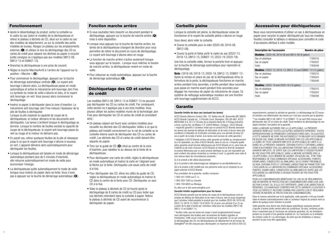# Fonctionnement

- Après le désemballage du produit, sortez la corbeille ou le cadre du sac (selon le modèle) de la déchiqueteuse et retirez le plateau à déchets de CD, situé sur le cadre du sac des modèles de département, ou sur la corbeille des petits modèles de bureau. Rangez ce plateau sur les emplacements externes ( $\bigodot$ ) et utilisez-le lors du déchiquetage des CD ou cartes de crédit pour séparer les déchets du papier à recycler (cette consigne ne s'applique pas aux modèles SM12-08, DM12-13 et DSM07-13).
- Branchez la déchiqueteuse à une prise de courant.
- Réglez la touche Marche/Arrêt à l'arrière de l'appareil sur la position « Marche » (D).
- Pour commencer le déchiquetage, appuyez sur la touche de démarrage automatique centrale ( $\bigodot$ ). Le voyant antibourrage s'allume alors. La déchiqueteuse passe en mode automatique et active le mécanisme anti-bourrage Jam Free. Le symbole du mode de veille s'allume en bleu, et le voyant anti-bourrage, en vert. Vous pouvez alors commencer le déchiquetage.
- Insérez le papier à déchiqueter dans la zone d'insertion. Le mécanisme anti-bourrage Jam Free mesure l'épaisseur de la pile de feuilles à déchiqueter. Lorsque la pile respecte la capacité de coupe de la déchiqueteuse, le moteur démarre et les documents sont déchiquetés. Les lames s'arrêtent lorsque le déchiquetage se termine. Lorsque le nombre de feuilles excède la capacité de coupe de la déchiqueteuse, le voyant anti-bourrage passe du vert au rouge et le moteur ne démarre pas.
- En pareil cas, retirez quelques feuilles de la pile et réessayez jusqu'à ce que le voyant anti-bourrage s'allume à nouveau en vert. L'appareil démarre alors automatiquement pour déchiqueter les feuilles.
- Lorsque la déchiqueteuse est laissée en mode de démarrage automatique pendant plus de 5 minutes d'inactivité, elle retourne automatiquement en mode de veille pour économiser l'énergie.
- La déchiqueteuse quitte automatiquement le mode de veille lorsque vous insérez du papier dans sa fente. Vous n'avez pas à appuyer sur la touche de démarrage automatique  $(\bigodot)$ .

# Fonction marche arrière

- Si vous souhaitez faire ressortir un document pendant le déchiquetage, appuyez sur la touche de marche arrière  $\left( \bigodot \right)$ mise à votre disposition.
- Lorsque vous appuyez sur la touche de marche arrière, les lames de la déchiqueteuse changent de direction pour vous permettre de retirer le document en cours de déchiquetage. Le voyant anti-bourrage s'allume alors en rouge.
- La fonction de marche arrière s'active seulement lorsque vous appuyez sur le bouton. Lorsque vous relâchez le bouton de marche arrière, la déchiqueteuse revient en mode de veille.
- Pour retourner au mode automatique, appuyez sur la touche de démarrage automatique  $(\bigodot)$ .

# Déchiquetage des CD et cartes de crédit

Les modèles SM12-08, DM12-13 et DSM07-13 ne peuvent pas déchiqueter les CD ou cartes de crédit. Par conséquent, cette section ne s'applique pas à ces trois modèles. Vous pouvez utiliser les autres modèles munis de la technologie Jam Free pour déchiqueter les CD et cartes de crédit en procédant ainsi :

- Un plateau séparé est fourni avec certains modèles pour recueillir les déchets des CD déchiquetés. Veillez à ce que le plateau soit installé correctement sur le rail de corbeille ou la corbeille interne avant de déchiqueter des CD ou cartes de crédit. Les déchets des CD et cartes de crédit doivent être séparés du papier.
- Tirez sur le quide de CD (CD) situé au centre de la zone d'insertion, puis rabattez-le au-dessus de la fente de la déchiqueteuse.
- Pour déchiqueter une carte de crédit, réglez la déchiqueteuse en mode automatique et insérez la carte en l'alignant avec la flèche sur la fente. Déchiquetez une seule carte de crédit à la fois.
- Pour déchiqueter des CD, étirez les côtés du guide de CD, réglez la déchiqueteuse en mode automatique et insérez le CD dans le centre de la fente pour CD. Déchiquetez un seul CD à la fois.
- Videz le plateau à déchets de CD (si fourni) après le déchiquetage de 8 cartes de crédit ou CD pour éviter que ces déchets retombent dans la corbeille à papier. Retirez le plateau à déchets de CD avant de recommencer à déchiqueter du papier.

# Corbeille pleine

Lorsque la corbeille est pleine, la déchiqueteuse cesse de fonctionner et le voyant de corbeille pleine s'allume en rouge. Vous devez alors vider la corbeille.

- Ouvrez la corbeille pour la vider (SS20-08, SX16-08, SM12-08).
- Ouvrez la porte et faites sortir le cadre du sac (DS22-13, DX18-13, DM12-13, DSM07-13, DS22-19, DX20-19).

Une fois la corbeille vidée, fermez la porte/le tiroir et appuyez sur la touche de démarrage automatique pour reprendre le déchiquetage.

Note : SX16-08, DX18-13, DX20-19, DM12-13, DSM07-13 - Après la remise en place du sac de la déchiqueteuse et/ou la fermeture de la porte, la déchiqueteuse fonctionne en marche arrière pendant trois secondes, s'arrête pendant deux secondes puis passe en marche avant pendant trois secondes pour dégager les morceaux de papier du mécanisme de coupe. Ce système de nettoyage automatique novateur est une fonction anti-bourrage supplémentaire de ACCO.

# **Garantie**

### Garantie limitée de deux ans (excluant les lames)

ACCO Brands (Returns Center) USA, 101 Bolton Ave 9E, Booneville MS 38829, ACCO Brands Canada Inc., 5 Precidio Court, Brampton, ON L6S-6B7, ACCO MEXICANA S.A. DE C.V Circuito de la Industria Norte No. 6 Parque Industria Lerma, Lerma Edo. de México C.P. 52000 México. (Chaque « ACCO Brands » respectif) garantit à l'acheteur initial que ce produit ACCO Brands (excluant les lames) est exempt de défauts de fabrication et de main-d'œuvre dans des conditions d'utilisation et d'entretien normales pour une période de deux (2) ans à partir de la date d'achat. (Les lames sont exclues de cette garantie.)

L'obligation d'ACCO Brands envers cette garantie est limitée au remplacement ou à la réparation, au choix d'ACCO Brands, dans le cas où, n'importe quelle pièce garantie serait trouvée défectueuse par ACCO Brands et ce, sans frais de matériel ou de main-d'oeuvre. ACCO Brands se réserve le droit de remplacer le produit défectueux par un autre produit identique ou par son équivalent qui peut contenir des pièces réusinées ou remises à neuf. La garantie sera nulle et non avenue dans les circonstances suivantes :

(i) si le produit a été utilisé abusivement,

(ii) si le produit a été endommagé par négligence ou accidentellement ou, (iii) si le produit a été modifié par une personne autre qu'un employé ou un agent autorisé d'ACCO Brands.

Pour prestation de la garantie, veuillez composer :

1-800-541-0094 aux É.-U.

1-800-263-1063 au Canada

1-800-758-6825 au Mexique

Ou allez sur le site www.swingline.com.

### Garantie limitée supplémentaire pour les lames

ACCO Brands garantit que les lames de coupe de la déchiqueteuse sont exemptes de défauts de fabrication et de main-d'œuvre, tant et aussi longtemps que l'acheteur initial possède le produit pour les modèles SS20-08, SX16-08, DS22-13, DX18-13, DS22-19 et DX20-19, et pour une période d'un (1) an à partir de la date d'achat par l'acheteur initial pour les modèles SM12-08, DM12-13 et DSM07-13.

\* Veuillez noter que les lames de coupe s'usent progressivement lorsque vous déchiquetez des feuilles avec accessoires de fixation (agrafes ou trombones). Cette usure n'est pas couverte par la garantie. En ce qui concerne le déchiquetage des CD, les déchiqueteuses de département et de bureau de Swingline® ont été conçues pour déchiqueter un maximum de 500 et 300 CD,

# Accessoires pour déchiqueteuse

Nous vous recommandons d'utiliser un sac à déchiqueteuse en papier pour recycler le papier déchiqueté par tous les modèles. Veuillez consulter le tableau ci-dessous pour connaître le code d'accessoire attribué à votre modèle.

| <b>Description de l'accessoire</b>                                 | Numéro de pièce |  |  |  |  |  |  |
|--------------------------------------------------------------------|-----------------|--|--|--|--|--|--|
| <b>Modèles:</b> SS20-08, SX16-08 and SM12-08 (8 gallon)            |                 |  |  |  |  |  |  |
| Sac en plastique                                                   | 1765016         |  |  |  |  |  |  |
| Sac en papier                                                      | 1765022         |  |  |  |  |  |  |
| Huile                                                              | 1760049         |  |  |  |  |  |  |
| <b>Modèles:</b> DS22-13, DX18-13, DM12-13 and DSM07-13 (13 gallon) |                 |  |  |  |  |  |  |
| Sac en plastique                                                   | 1765010         |  |  |  |  |  |  |
| Sac en papier                                                      | 1765024         |  |  |  |  |  |  |
| Huile                                                              | 1760049         |  |  |  |  |  |  |
| <b>Modèles :</b> DS22-19 and DX20-19 (19 gallon)                   |                 |  |  |  |  |  |  |
| Sac en plastique                                                   | 1765010         |  |  |  |  |  |  |
| Sac en papier                                                      | 1765024         |  |  |  |  |  |  |
| Huile                                                              | 1760049         |  |  |  |  |  |  |

respectivement, pendant la période de garantie. Le déchiquetage de CD excessif entraîne une détérioration des lames qui n'est pas couverte par la garantie.

\*\*Les modèles SM12-08, DM12-13 et DSM07-13 ne sont PAS conçus pour déchiqueter des CD et cartes de crédit. Toute tentative de déchiquetage de ces objets entraîne l'annulation de la garantie.

DANS LA MESURE AUTORISÉE PAR LA LOI APPLICABLE, LA PRÉSENTE GARANTIE REMPLACE TOUTES LES AUTRES GARANTIES EXPRESSES. TOUTES REPRÉSENTATIONS OU PROMESSES CONTRADICTOIRES AVEC, OU AJOUTÉES À CETTE GARANTIE NE SONT PAS AUTORISÉES ET N'OBLIGENT ACCO BRANDS EN AUCUN CAS. DANS LA MESURE AUTORISÉE PAR LES LOIS APPLICABLES, LA DURÉE DE TOUTE GARANTIE IMPLICITE (SI APPLICABLE) SE LIMITE À LA DURÉE DE LA PRÉSENTE GARANTIE. CERTAINS ÉTATS ET CERTAINES JURIDIC-TIONS N'AUTORISENT PAS LES LIMITATIONS PORTANT SUR LA DURÉE D'UNE GARANTIE IMPLICITE, DE SORTE QUE LES LIMITATIONS CI-DESSUS PEUVENT NE PAS VOUS ÊTRE APPLICABLES. DANS LA MESURE AUTORISÉE PAR LA LOI APPLICABLE, ACCO BRANDS NE SAURAIT, EN AUCUN CAS, ÊTRE TENU RESPONSABLE DE TOUS DOMMAGES SPÉCIAUX, ACCESSOIRES, PUNITIFS, EXEMPLAIRES, CONSÉCUTIFS OU SIMILAIRES, QU'ILS SOIENT PRÉVISIBLES OU NON. CERTAINS ÉTATS ET CERTAINES JURIDICTIONS NE PERMETTENT PAS L'EXCLUSION OU LA LIMITATION DES DOMMAGES SPÉCIAUX, ACCESSOIRES, PUNITIFS, EXEMPLAIRES, CONSÉCUTIFS OU SIMILAIRES DE SORTE QUE LES EXCLUSIONS OU LIMITATIONS CI-DESSUS PEUVENT NE PAS VOUS ÊTRE APPLICABLES.

POUR LES CONSOMMATEURS BÉNÉFICIANT DE LOIS OU DE RÉGLEMENTATI-ONS EN MATIÈRE DE PROTECTION DES CONSOMMATEURS DANS LEUR JURI-DICTION D'ACHAT, OU, SI ELLE EST DIFFÉRENTE, DANS LEUR JURIDICTION DE RÉSIDENCE, LES AVANTAGES CONFÉRÉS PAR CETTE GARANTIE S'AJOUTENT À TOUS LES DROITS ET RECOURS FOURNIS PAR LESDITES LOIS ET RÉGLEMEN-TATIONS EN MATIÈRE DE PROTECTION DES CONSOMMATEURS.

Dans la mesure autorisée par la loi applicable, cette garantie n'est pas transférable et devient automatiquement nulle si l'acheteur original du produit vend ou aliène de quelque autre manière le produit.

Cette garantie vous donne des droits légaux spécifiques auxquels peuvent s'ajouter d'autres droits variant selon les juridictions. De plus, certaines juridictions n'autorisent pas (i) l'exclusion de certaines garanties, (ii), les limitations portant sur la durée d'une garantie implicite et / ou l'exclusion ou la limitation de certains coûts et / ou dommages, de sorte que les limitations ci-dessus peuvent ne pas vous être applicables.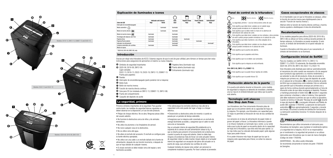

### Explicación de iluminados e iconos

|                                   |            |                        |            | <b>MEN</b>     | T              | I             |                | Auto                                                                                                                                                 | <b>N</b> Marcha directa                                                            |
|-----------------------------------|------------|------------------------|------------|----------------|----------------|---------------|----------------|------------------------------------------------------------------------------------------------------------------------------------------------------|------------------------------------------------------------------------------------|
|                                   |            | Indicador anti-atascos | Auto       | Papelera Ilena | Puerta abierta | Enfriamiento* |                |                                                                                                                                                      |                                                                                    |
| Color del LED                     | Rojo       | Verde                  | Azul       | Rojo           | Rojo           | Rojo          |                |                                                                                                                                                      | La seguridad, primero - Lea las instrucc                                           |
| Interruptor de encendido/apagado  |            |                        |            |                |                |               |                |                                                                                                                                                      |                                                                                    |
| Modo automático ()                |            | iluminado              | illuminado |                |                |               |                | $\mathfrak{D}% _{T}=\mathfrak{D}_{T}\!\left( a,b\right) ,\ \mathfrak{D}_{T}=C_{T}\!\left( a,b\right) ,\ \mathfrak{D}_{T}=C_{T}\!\left( a,b\right) ,$ | Esto significa que debe tener cuidado co<br>porque puede enredarse en el cabezal d |
| Modo de marcha directa XX         |            | iluminado              | illuminado |                |                |               |                |                                                                                                                                                      | Esto significa que no debe meter la mano<br>alimentación del cabezal de corte.     |
| Modo de marcha inversa K          | illuminado |                        | illuminado |                |                |               |                | ↭                                                                                                                                                    | Esto significa que debe tener cuidado co                                           |
| Tecnología anti-atascos Jam Free  | illuminado |                        | iluminado  |                |                |               |                | N                                                                                                                                                    | de vestir sueltas porque pueden enredar                                            |
| Papelera llena                    | illuminado |                        | iluminado  | iluminado      |                |               |                |                                                                                                                                                      | Esto significa que debe mantener a los n                                           |
| Papelera/Puerta abierta           | iluminado  |                        | iluminado  |                | iluminado      |               |                | ۹<br>trituradora.                                                                                                                                    |                                                                                    |
| Indicador de enfriamiento         |            |                        | iluminado* |                |                | iluminado*    |                |                                                                                                                                                      |                                                                                    |
| Limpieza automática de cuchillas  | iluminado  |                        | iluminado  |                |                |               | $\circledcirc$ |                                                                                                                                                      | Esto significa que debe tener cuidado co                                           |
| Modo de reposo                    |            |                        |            |                |                |               |                |                                                                                                                                                      | porque pueden enredarse en el cabezal o                                            |
| * SS20-08, SX16-08, SM12-08, only |            |                        |            |                |                |               |                |                                                                                                                                                      | Esto significa que la puerta está abierta.                                         |

### Introducción

Gracias por elegir esta trituradora de ACCO. Estamos seguros de que le será de gran utilidad, pero tómese un tiempo para leer estas instrucciones para asegurarse de aprovechar al máximo su nueva máquina.

- A Símbolos de seguridad importantes
- **B** SS20-08, SX16-08, SM12-08:
- Cajón extraíble DS22-13, DX18-13, DS22-19, DX20-19, DM12-13, DSM07-13: Puerta para papelera 3 Enfriamiento (iluminado rojo)
- **C** Ruedas
- D Interruptor de encendido/apagado (parte posterior de la máquina)
- E Botón Auto
- **O** Botón de marcha inversa
- G Función de marcha directa continua
- $\Phi$  Guía para CD (no instalada en DM12-13, DSM07-13, SM12-08)
- I Puerta del compartimiento
- $\bullet$  Casquillo del depósito de aceite

### La seguridad, primero

Primeros símbolos importantes de la seguridad. Para guardar contra lesión, las medidas de seguridad básicas siguientes se deben observar en la disposición y el uso de este producto.

- Peligro de choque eléctrico. No se abra. Ningunas piezas útiles del usuario adentro.
- No funcione la destructora cerca de niños y de animales domésticos.
- No utilice los plumeros o los limpiadores de aerosol.
- No rocíe cualquier cosa en la destructora.
- No se utilice cerca del agua.
- No altere el enchufe del accesorio. El enchufe se configura para la fuente eléctrica apropiada.

• No utilice con una cable o un enchufe dañado de la fuente de alimentación, después de una función incorrecta, o después de que se haya dañado de cualquier manera.

• El zócalo-enchufe se debe instalar cerca del equipo y será fácilmente accesible.

• No sobrecargue los enchufes eléctricos más allá de la capacidad como esto puede dar lugar a fuego o a choque eléctrico.

1 Papelera llena (iluminado rojo) 2 Puerta abierta (iluminado rojo)

- Desenchufe su destructora antes de moverla o cuando es parada por un periodo de tiempo extendido.
- Asegúrese que la máquina esté conectada en un enchufe de energía fácilmente accesible, y asegúrese que el cable no esté cerca de un transeúnte.

Hay un actuador interno de seguridad (N) establecido en la izquierda de la cámara de auto alimentación (véase la fig. 4) que se diseña para prevenir el funcionamiento de la destructora cuando la puerta de carga está abierta. Usted no debe bajo ninguna circunstancias trata de forzar con este actuador interno de seguridad. Usted no debe insertar ningún objeto en el actuador interno de seguridad con excepción del perno del actuador en la puerta de carga, que activarían las cuchillas de corte.

Cualquier tentativa de reparar esta unidad por personal no competente invalidará la garantía. Por favor contacte al proveedor.

### Panel de control de la trituradora



- 
- Esto significa que debe tener cuidado con el cabello largo porque puede enredarse en el cabezal de corte.
- 
- Esto significa que no debe meter la mano en la abertura de alimentación del cabezal de corte.
- Esto significa que debe tener cuidado con las corbatas y otras prendas de vestir sueltas porque pueden enredarse en el cabezal de corte.
- Esto significa que debe mantener a los niños alejados de la trituradora.
- Esto significa que debe tener cuidado con las alhajas sueltas
- $^\circledR$ porque pueden enredarse en el cabezal de corte.
	-
	- Esto significa que la papelera está llena.
- Esto significa que no se deben usar aerosoles.
	- Esto significa que la máquina se está enfriando.

### Sólo SM12-08, DM12-13 y DSM07-13.

والتقلخ

Esto significa que no puede triturar CD. Esto significa que no puede triturar tarjetas de crédito.

### Protección abierta de la puerta

Si la puerta está abierta durante la trituración, como medida de seguridad la máquina se detendrá de inmediato y destellará una luz roja en el símbolo/indicador que indica que la puerta está abierta.

### Tecnología anti-atascos Non Stop Jam Free

Las trituradoras Jam Free únicamente triturarán pilas de papel que se encuentren dentro de la capacidad de hojas de la máquina. Por ejemplo, una trituradora con capacidad para 22 hojas no permitirá la trituración de más de esa cantidad de hojas.

Los sensores en el área de alimentación de papel miden el grosor del papel a triturar. La trituradora informará si puede o no triturar mediante un iluminado rojo o verde. La luz verde indica que la pila de papel se encuentra dentro de la capacidad de hojas de la trituradora y que ésta está lista para operar. La luz roja indica que ha colocado demasiado papel; quite algunas hojas para poder triturar.

Al no poder triturarse más hojas de papel que las que la máquina está capacitada para triturar, se evitan los atascos de papel.

### Casos excepcionales de atascos

En el improbable caso en que la trituradora se atasque, utilice la función de marcha inversa para desbloquearla (vea la sección "Función de marcha inversa").

Alternar entre la función de marcha directa continua y marcha inversa ayudará a desbloquear el área de alimentación.

### Recalentamiento

Si los modelos pequeños para oficina (SS20-08, SX16-08 y SM12-08) se utilizan en forma continua durante períodos de tiempo extensos, la trituradora se puede recalentar. Si esto ocurre, el símbolo del termómetro en el panel indicador se iluminará.

Cuando la trituradora esté lista para el uso nuevamente, el símbolo del termómetro no se iluminará.

### Configuración inicial de SelfOil

Para los modelos con SelfOil: DX18-13, DM12-13, DSM07-13 y DX20-19 solamente. No disponible encendido: SS20-08, SX16-08, SM12-08, DS22-13 y DS22-19.

Esta trituradora está diseñada para lubricar automáticamente el mecanismo de corte cuando sea necesario a fin de asegurar que el producto siga operando a su máximo rendimiento y así extender la vida útil del producto. Antes de encender la máquina por primera vez, abra la tapa del depósito de aceite en el cabezal de la trituradora ( $\bigcirc$ ) y vierta la botella de aceite de 60ml que se proporciona como estándar. Esto es suficiente para permitir que la trituradora arranque por primera vez y opere de forma continua durante aproximadamente un hora de trituración antes de que deba recargarse el depósito. Presione y mantenga presionado el botón Auto (E) durante 5 segundos para comenzar a bombear y cebar el sistema. Esta operación sólo debe realizarse la primera vez que se utiliza la trituradora. Cuando se ilumina el indicador 'Recarga de aceite" o. levante la tapa del depósito ( $\bigcirc$ ) y recárguelo utilizando una botella de aceite GBC estándar (1760049). La operación de lubricación automática @ dura aproximadamente 2 segundos y durante ese tiempo, escuchará la bomba de distribución funcionando. La lubricación automática funciona 15 minutos después de la trituración.

### $\Lambda$  PRECAUCIÓN

Recomendamos que utilice únicamente el lubricante para trituradoras de Swingline para mantener el rendimiento óptimo y la seguridad de la máquina. ACCO no se responsabiliza por el rendimiento o la seguridad del producto si se utilizan lubricantes para trituradoras que no sean de marca Swingline (Código de orden 1760049). ADVERTENCIA – No utilice aceite inflamable. Se recomienda únicamente el número de parte 1760049 de Swingline.

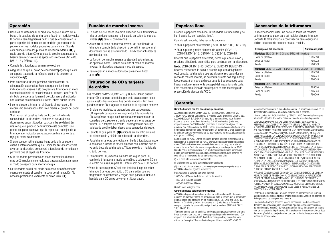# Operación

- Después de desembalar el producto, saque el marco de la bolsa o la papelera de la trituradora (según el modelo) y quite la bandeja para fragmentos de CD, que se encuentra en la parte superior del marco (en los modelos grandes) o en la papelera (en los modelos pequeños para oficina). Guarde esta bandeja sobre los puntos de ubicación externa  $(\bigcirc)$  y úsela cuando triture CD o tarjetas de crédito para separar la basura para reciclaje (no se aplica a los modelos SM12-08, DM12-13 y DSM07-13).
- Conecte la trituradora al suministro eléctrico.
- Asegúrese de que el botón de encendido/apagado que está en la parte trasera de la máquina esté en la posición de encendido  $(D)$ .
- Para empezar a triturar, presione el botón central de alimentación automática. Esto hará que se ilumine el indicador anti-atascos. Esto programa la trituradora en modo automático e inicia el mecanismo anti-atascos Jam Free. El símbolo de espera se iluminará de color azul y el indicador anti-atascos destellará una luz verde. Ahora puede triturar.
- Inserte el papel a triturar en el área de alimentación. El mecanismo anti-atascos Jam Free medirá el grosor del papel a triturar.

Si el grosor del papel se halla dentro de los límites de capacidad de la trituradora, el motor se activará y los documentos serán triturados. Las cuchillas se detendrán una vez que el proceso de trituración esté completo. Si el grosor del papel es mayor que la capacidad de hojas de la trituradora, el indicador anti-atascos cambiará de verde a rojo y el motor se detendrá.

- Si esto sucede, retire algunas hojas de la pila de papel y vuelva a intentarlo hasta que el indicador anti-atascos vuela a verde: la trituradora comenzará a funcionar de inmediato y permitirá que el papel sea triturado.
- Si la trituradora permanece en modo automático durante más de 2 minutos sin ser utilizada, pasará automáticamente al modo de espera para ahorrar energía.
- La trituradora saldrá del modo de reposo automáticamente cuando se inserte el papel en la boca de alimentación. No necesita presionar nuevamente el botón Auto (E).

# Función de marcha inversa

- En caso de que desee invertir la dirección de la trituración al triturar un documento, se ha instalado un botón de marcha inversa (F) para su conveniencia.
- Al oprimir el botón de marcha inversa, las cuchillas de la trituradora cambiarán la dirección y permitirán recuperar el documento que se está triturando. El indicador anti-atascos cambiará a rojo.
- La función de marcha inversa se ejecutará sólo mientras se oprima el botón. Cuando se suelta el botón de marcha inversa, la trituradora pasará al modo de espera.
- Para regresar al modo automático, presione el botón auto  $(\mathbf{\Theta})$ .

# Trituración de CD y tarjetas de crédito

Los modelos SM12-08, DM12-13 y DSM07-13 no pueden triturar CD o tarjetas de crédito, por ende esta sección no se aplica a estos tres modelos. Los demás modelos Jam Free pueden triturar CD y tarjetas de crédito de la siguiente manera:

- En algunos modelos, se proporciona una bandeja para CD separada para juntar los fragmentos triturados de los CD. Asegúrese de que esté instalada correctamente en la corredera de la papelera o en la papelera interna antes de triturar CD o tarjetas de crédito. Los fragmentos de CD y tarjetas de crédito deben desecharse separados del papel.
- Levante la guía para CD ( $\bigcirc$ ) ubicada en el centro del área de alimentación y sitúela en la boca de la trituradora.
- Para triturar tarjetas de crédito, cambie la trituradora a modo automático e inserte la tarjeta alineada con la flecha que se ve en la boca de la trituradora. Triture sólo de a 1 tarjeta de crédito por vez.
- Para triturar CD, extienda los lados de la guía para CD, cambie la trituradora a modo automático y coloque el CD en el centro de la ranura para CD. Triture sólo de a 1 CD por vez.
- Vacíe la bandeja para CD (si está incluida) luego de haber triturado 8 tarjetas de crédito o CD para evitar que los fragmentos se desborden y caigan en la papelera. Retire la bandeja para CD antes de volver a triturar papel.

# Papelera llena

Cuando la papelera esté llena, la trituradora no funcionará y se iluminará la luz de "papelera llena".

Cuando esto suceda, debe vaciar la papelera.

- Abra la papelera para vaciarla (SS20-08, SX16-08, SM12-08)
- Abra la puerta y retire el marco de la bolsa (DS22-13, DX18-13, DM12-13, DSM07-13, DS22-19, DX20-19)

Una vez que la papelera esté vacía, cierre la puerta/el cajón y presione el botón de automático para continuar con la trituración.

Nota: SX16-08, DX18-13, DX20-19, DM12-13, DSM07-13 - Una vez reinsertada la bolsa o cuando la puerta del gabinete esté cerrada, la trituradora operará durante tres segundos en modo de marcha inversa, se detendrá durante dos segundos y luego operará en marcha directa durante tres segundos para liberar cualquier remanente de papel del mecanismo de corte. Este mecanismo único de autolimpieza es otra tecnología de prevención de atascos de ACCO.

# Garantía

### Garantía limitada por dos años (Excluye cuchillas)

ACCO Brands (Returns Center) USA, 101 Bolton Ave 9E, Booneville MS 38829, ACCO Brands Canada Inc., 5 Precidio Court, Brampton, ON L6S-6B7, ACCO MEXICANA S.A. DE C.V Circuito de la Industria Norte No. 6 Parque Industria Lerma, Lerma Edo. de México C.P. 52000 México. (cada una, respectivamente, "ACCO Brands") garantizan al comprador original de este producto que este producto de ACCO Brands (excepto las cuchillas) está libre de defectos de mano de obra y material por un período de 2 años después de la fecha de compra en condiciones de uso y servicio normales. (Esta garantía excluye las cuchillas.)

La obligación de ACCO Brands bajo esta garantía se limita al reemplazo o la reparación, a la sola opción de ACCO Brands, de cualquier pieza garantizada que ACCO Brands determine que está defectuosa, sin cargo por material o mano de obra. Cualquier reemplazo puede ser, a la sola opción de ACCO Brands, por el mismo producto o un producto sustancialmente similar que puede contener piezas reconstruidas o reacondicionadas. Esta garantía no será válida en cualquiera de las siguientes circunstancias:

(i) si el producto se usó incorrectamente,

(ii) si el producto se dañó por negligencia o accidente, (iii) si el producto fue alterado por cualquier persona que no pertenezca a ACCO Brands o sus agentes autorizados.

Para reclamar la garantía por favor llame al:

- 1-800-541-0094 en los Estados Unidos de América
- 1-800-263-1063 en Canadá

1-800-758-6825 en México

O visite www.swingline.com.

### Garantía limitada adicional para cuchillas

ACCO Brands garantiza que las cuchillas de la trituradora están libres de defectos de material y mano de obra durante todo el tiempo que el comprador original posea este producto en los modelos SS20-08, SX16-08, DS22-13, DX18-13, DS22-19 y DX20-19 y durante un (1) año desde la fecha de compra por parte del consumidor original en los modelos SM12-08, DM12- 13 y DSM07-13.

\*Tenga en cuenta que las cuchillas se desgastarán progresivamente al triturar hojas sujetadas con broches o sujetapapeles: la garantía no cubre esto. Con respecto a la trituración de CD, las trituradoras grandes y pequeñas para oficina de Swingline® fueron diseñadas para triturar hasta 500 y 300 CD

# Accesorios de la trituradora

Le recomendamos usar una bolsa en todos los modelos de trituradora de papel para así reciclar el papel triturado. Consulte la tabla incluida a continuación para averiguar el código de accesorio correcto para su modelo.

| Descripción del accesorio                                   | Número de parte |  |  |  |  |  |  |
|-------------------------------------------------------------|-----------------|--|--|--|--|--|--|
| Modelos: SS20-08, SX16-08 and SM12-08 (8 gallon)            |                 |  |  |  |  |  |  |
| Bolsa de plástico                                           | 1765016         |  |  |  |  |  |  |
| Bolso de Papel                                              | 1765022         |  |  |  |  |  |  |
| Aceite                                                      | 1760049         |  |  |  |  |  |  |
| Modelos: DS22-13, DX18-13, DM12-13 and DSM07-13 (13 gallon) |                 |  |  |  |  |  |  |
| Bolsa de plástico                                           | 1765010         |  |  |  |  |  |  |
| Bolso de Papel                                              | 1765024         |  |  |  |  |  |  |
| Aceite                                                      | 1760049         |  |  |  |  |  |  |
| <b>Modelos:</b> DS22-19 and DX20-19 (19 gallon)             |                 |  |  |  |  |  |  |
| Bolsa de plástico                                           | 1765010         |  |  |  |  |  |  |
| Bolso de Papel                                              | 1765024         |  |  |  |  |  |  |
| Aceite                                                      | 1760049         |  |  |  |  |  |  |

respectivamente durante el período de garantía. La trituración excesiva de CD desgastará las cuchillas y no se halla cubierta por la garantía.

\*\*Los modelos SM12-08, DM12-13 y DSM07-13 NO fueron diseñados para triturar CD y tarjetas de crédito. Si intenta hacerlo, invalidará la garantía.

CONFORME LO PERMITAN LAS LEYES APLICABLES, ESTA GARANTÍA REEMPLAZA CUALQUIER OTRA GARANTÍA VERBAL O ESCRITA. NO ESTÁ AUTORIZADA NINGUNA REPRESENTACIÓN O PROMESA ADICIONAL QUE NO SEA CONSISTENTE CON ESTA GARANTÍA Y NO REPRESENTARÁ OBLIGACIÓN LEGAL ALGUNA PARA ACCO BRANDS. HASTA DONDE LO PERMITEN LAS LEYES APLICABLES, LA DURACIÓN DE CUALQUIER GARANTÍA IMPLÍCITA (SI CORRESPONDIERA) ESTÁ LIMITADA A LA DURACIÓN DE ESTA GARANTÍA. ALGUNOS ESTADOS Y JURISDICCIONES NO PERMITEN LIMITACIONES EN RELACIÓN AL TIEMPO DE DURACIÓN DE UNA GARANTÍA IMPLÍCITA, POR LO TANTO, LA LIMITACIÓN ANTERIOR PUEDE NO SER APLICABLE EN SU CASO. HASTA DONDE LAS LEYES APLICABLES LO PERMITAN, EN NINGÚN CASO ACCO BRANDS ASUME RESPONSABILIDAD LEGAL POR DAÑOS ESPECIALES, INCIDENTALES, PUNITIVOS, EJEMPLARES, CONSECUENTES O SIMILARES YA SEAN PREDECIBLES O NO. ALGUNOS ESTADOS Y JURISDICCIONES NO PERMITEN LA EXCLUSIÓN O LIMITACIÓN DE LOS DAÑOS Y PERJUICIOS ESPECIALES, INCIDENTALES, PUNITIVOS, EJEMPLARES, CONSECUENTES O SIMILARES, DE MODO QUE LA EXCLUSIÓN O LIMITACIÓN PRECEDENTE PUEDE NO SER APLICABLE A SU CASO.

PARA LOS CONSUMIDORES QUE CUENTAN CON EL BENEFICIO DE LEYES O REGULACIONES DE PROTECCIÓN AL CONSUMIDOR EN LA JURISDICCIÓN DONDE SE EFECTUÓ LA COMPRA O SI LAS LEYES SON DIFERENTES Y APLICAN A LA JURISDICCIÓN DE RESIDENCIA, LOS BENEFICIOS OTORGADOS POR ESTA GARANTÍA SON ADICIONALES A TODOS LOS DEMÁS DERECHOS Y COMPENSACIONES QUE MARCAN TALES LEYES Y REGULACIONES DE PROTECCIÓN AL CONSUMIDOR.

Conforme a lo permitido por ley, esta garantía no es transferible y termina automáticamente si el comprador original del producto vende o se deshace de dicho producto de cualquier otra manera.

Esta garantía le otorga derechos legales específicos. Pueden existir otros derechos, que varían según la jurisdicción. Además, ciertas jurisdicciones no permiten (i) la exclusión de ciertas garantías, (ii) las limitaciones de la duración de las garantías implícitas y/o (iii) la exclusión o limitación de ciertos tipos de costos y/o daños y perjuicios de modo que las limitaciones precedentes pueden no ser aplicables.